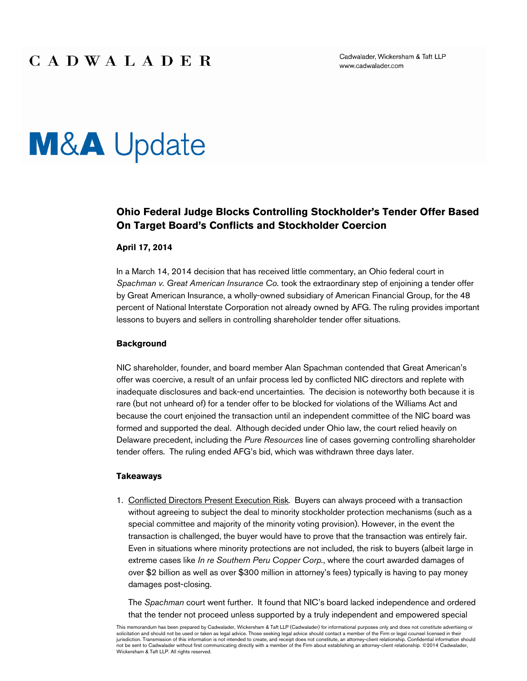Cadwalader, Wickersham & Taft LLP www.cadwalader.com

# **M&A** Update

### **Ohio Federal Judge Blocks Controlling Stockholder's Tender Offer Based On Target Board's Conflicts and Stockholder Coercion**

#### **April 17, 2014**

In a March 14, 2014 decision that has received little commentary, an Ohio federal court in *Spachman v. Great American Insurance Co.* took the extraordinary step of enjoining a tender offer by Great American Insurance, a wholly-owned subsidiary of American Financial Group, for the 48 percent of National Interstate Corporation not already owned by AFG. The ruling provides important lessons to buyers and sellers in controlling shareholder tender offer situations.

#### **Background**

NIC shareholder, founder, and board member Alan Spachman contended that Great American's offer was coercive, a result of an unfair process led by conflicted NIC directors and replete with inadequate disclosures and back-end uncertainties. The decision is noteworthy both because it is rare (but not unheard of) for a tender offer to be blocked for violations of the Williams Act and because the court enjoined the transaction until an independent committee of the NIC board was formed and supported the deal. Although decided under Ohio law, the court relied heavily on Delaware precedent, including the *Pure Resources* line of cases governing controlling shareholder tender offers. The ruling ended AFG's bid, which was withdrawn three days later.

#### **Takeaways**

1. Conflicted Directors Present Execution Risk. Buyers can always proceed with a transaction without agreeing to subject the deal to minority stockholder protection mechanisms (such as a special committee and majority of the minority voting provision). However, in the event the transaction is challenged, the buyer would have to prove that the transaction was entirely fair. Even in situations where minority protections are not included, the risk to buyers (albeit large in extreme cases like *In re Southern Peru Copper Corp.*, where the court awarded damages of over \$2 billion as well as over \$300 million in attorney's fees) typically is having to pay money damages post-closing.

The *Spachman* court went further. It found that NIC's board lacked independence and ordered that the tender not proceed unless supported by a truly independent and empowered special

This memorandum has been prepared by Cadwalader, Wickersham & Taft LLP (Cadwalader) for informational purposes only and does not constitute advertising or solicitation and should not be used or taken as legal advice. Those seeking legal advice should contact a member of the Firm or legal counsel licensed in their jurisdiction. Transmission of this information is not intended to create, and receipt does not constitute, an attorney-client relationship. Confidential information should not be sent to Cadwalader without first communicating directly with a member of the Firm about establishing an attorney-client relationship. ©2014 Cadwalader, Wickersham & Taft LLP. All rights reserved.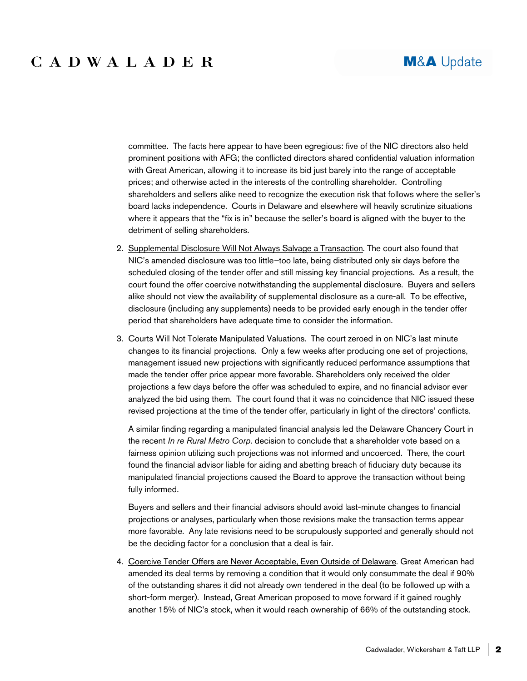## CADWALADER

committee. The facts here appear to have been egregious: five of the NIC directors also held prominent positions with AFG; the conflicted directors shared confidential valuation information with Great American, allowing it to increase its bid just barely into the range of acceptable prices; and otherwise acted in the interests of the controlling shareholder. Controlling shareholders and sellers alike need to recognize the execution risk that follows where the seller's board lacks independence. Courts in Delaware and elsewhere will heavily scrutinize situations where it appears that the "fix is in" because the seller's board is aligned with the buyer to the detriment of selling shareholders.

- 2. Supplemental Disclosure Will Not Always Salvage a Transaction. The court also found that NIC's amended disclosure was too little*–*too late, being distributed only six days before the scheduled closing of the tender offer and still missing key financial projections. As a result, the court found the offer coercive notwithstanding the supplemental disclosure. Buyers and sellers alike should not view the availability of supplemental disclosure as a cure-all. To be effective, disclosure (including any supplements) needs to be provided early enough in the tender offer period that shareholders have adequate time to consider the information.
- 3. Courts Will Not Tolerate Manipulated Valuations. The court zeroed in on NIC's last minute changes to its financial projections. Only a few weeks after producing one set of projections, management issued new projections with significantly reduced performance assumptions that made the tender offer price appear more favorable. Shareholders only received the older projections a few days before the offer was scheduled to expire, and no financial advisor ever analyzed the bid using them. The court found that it was no coincidence that NIC issued these revised projections at the time of the tender offer, particularly in light of the directors' conflicts.

A similar finding regarding a manipulated financial analysis led the Delaware Chancery Court in the recent *In re Rural Metro Corp*. decision to conclude that a shareholder vote based on a fairness opinion utilizing such projections was not informed and uncoerced. There, the court found the financial advisor liable for aiding and abetting breach of fiduciary duty because its manipulated financial projections caused the Board to approve the transaction without being fully informed.

Buyers and sellers and their financial advisors should avoid last-minute changes to financial projections or analyses, particularly when those revisions make the transaction terms appear more favorable. Any late revisions need to be scrupulously supported and generally should not be the deciding factor for a conclusion that a deal is fair.

4. Coercive Tender Offers are Never Acceptable, Even Outside of Delaware. Great American had amended its deal terms by removing a condition that it would only consummate the deal if 90% of the outstanding shares it did not already own tendered in the deal (to be followed up with a short-form merger). Instead, Great American proposed to move forward if it gained roughly another 15% of NIC's stock, when it would reach ownership of 66% of the outstanding stock.